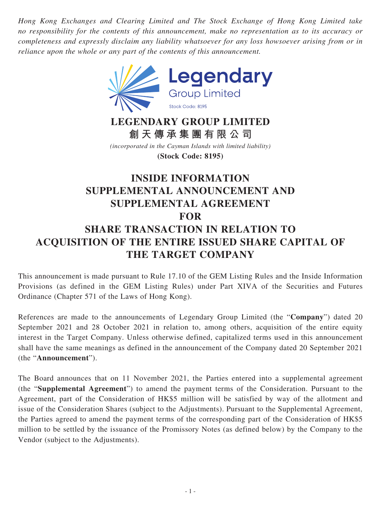*Hong Kong Exchanges and Clearing Limited and The Stock Exchange of Hong Kong Limited take no responsibility for the contents of this announcement, make no representation as to its accuracy or completeness and expressly disclaim any liability whatsoever for any loss howsoever arising from or in reliance upon the whole or any part of the contents of this announcement.*



# **LEGENDARY GROUP LIMITED 創天傳承集團有限公司**

*(incorporated in the Cayman Islands with limited liability)* **(Stock Code: 8195)**

# **INSIDE INFORMATION SUPPLEMENTAL ANNOUNCEMENT AND SUPPLEMENTAL AGREEMENT FOR SHARE TRANSACTION IN RELATION TO ACQUISITION OF THE ENTIRE ISSUED SHARE CAPITAL OF THE TARGET COMPANY**

This announcement is made pursuant to Rule 17.10 of the GEM Listing Rules and the Inside Information Provisions (as defined in the GEM Listing Rules) under Part XIVA of the Securities and Futures Ordinance (Chapter 571 of the Laws of Hong Kong).

References are made to the announcements of Legendary Group Limited (the "**Company**") dated 20 September 2021 and 28 October 2021 in relation to, among others, acquisition of the entire equity interest in the Target Company. Unless otherwise defined, capitalized terms used in this announcement shall have the same meanings as defined in the announcement of the Company dated 20 September 2021 (the "**Announcement**").

The Board announces that on 11 November 2021, the Parties entered into a supplemental agreement (the "**Supplemental Agreement**") to amend the payment terms of the Consideration. Pursuant to the Agreement, part of the Consideration of HK\$5 million will be satisfied by way of the allotment and issue of the Consideration Shares (subject to the Adjustments). Pursuant to the Supplemental Agreement, the Parties agreed to amend the payment terms of the corresponding part of the Consideration of HK\$5 million to be settled by the issuance of the Promissory Notes (as defined below) by the Company to the Vendor (subject to the Adjustments).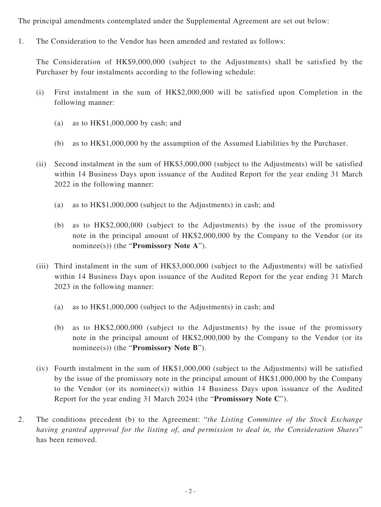The principal amendments contemplated under the Supplemental Agreement are set out below:

1. The Consideration to the Vendor has been amended and restated as follows:

The Consideration of HK\$9,000,000 (subject to the Adjustments) shall be satisfied by the Purchaser by four instalments according to the following schedule:

- (i) First instalment in the sum of HK\$2,000,000 will be satisfied upon Completion in the following manner:
	- (a) as to HK\$1,000,000 by cash; and
	- (b) as to HK\$1,000,000 by the assumption of the Assumed Liabilities by the Purchaser.
- (ii) Second instalment in the sum of HK\$3,000,000 (subject to the Adjustments) will be satisfied within 14 Business Days upon issuance of the Audited Report for the year ending 31 March 2022 in the following manner:
	- (a) as to HK\$1,000,000 (subject to the Adjustments) in cash; and
	- (b) as to HK\$2,000,000 (subject to the Adjustments) by the issue of the promissory note in the principal amount of HK\$2,000,000 by the Company to the Vendor (or its nominee(s)) (the "**Promissory Note A**").
- (iii) Third instalment in the sum of HK\$3,000,000 (subject to the Adjustments) will be satisfied within 14 Business Days upon issuance of the Audited Report for the year ending 31 March 2023 in the following manner:
	- (a) as to HK\$1,000,000 (subject to the Adjustments) in cash; and
	- (b) as to HK\$2,000,000 (subject to the Adjustments) by the issue of the promissory note in the principal amount of HK\$2,000,000 by the Company to the Vendor (or its nominee(s)) (the "**Promissory Note B**").
- (iv) Fourth instalment in the sum of HK\$1,000,000 (subject to the Adjustments) will be satisfied by the issue of the promissory note in the principal amount of HK\$1,000,000 by the Company to the Vendor (or its nominee(s)) within 14 Business Days upon issuance of the Audited Report for the year ending 31 March 2024 (the "**Promissory Note C**").
- 2. The conditions precedent (b) to the Agreement: "*the Listing Committee of the Stock Exchange having granted approval for the listing of, and permission to deal in, the Consideration Shares*" has been removed.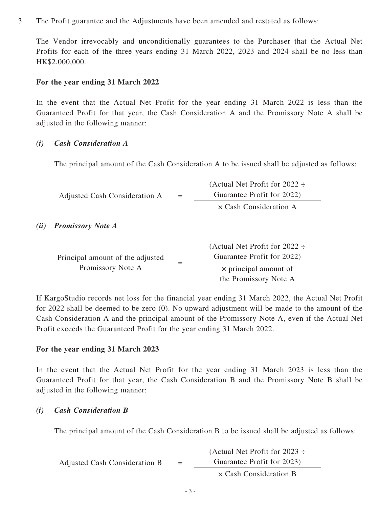3. The Profit guarantee and the Adjustments have been amended and restated as follows:

The Vendor irrevocably and unconditionally guarantees to the Purchaser that the Actual Net Profits for each of the three years ending 31 March 2022, 2023 and 2024 shall be no less than HK\$2,000,000.

#### **For the year ending 31 March 2022**

In the event that the Actual Net Profit for the year ending 31 March 2022 is less than the Guaranteed Profit for that year, the Cash Consideration A and the Promissory Note A shall be adjusted in the following manner:

#### *(i) Cash Consideration A*

The principal amount of the Cash Consideration A to be issued shall be adjusted as follows:

Adjusted Cash Consideration  $A =$ (Actual Net Profit for 2022 ÷ Guarantee Profit for 2022) × Cash Consideration A

#### *(ii) Promissory Note A*

|                                                       | (Actual Net Profit for 2022 $\div$ |
|-------------------------------------------------------|------------------------------------|
| Principal amount of the adjusted<br>Promissory Note A | Guarantee Profit for 2022)         |
|                                                       | $\times$ principal amount of       |
|                                                       | the Promissory Note A              |

If KargoStudio records net loss for the financial year ending 31 March 2022, the Actual Net Profit for 2022 shall be deemed to be zero (0). No upward adjustment will be made to the amount of the Cash Consideration A and the principal amount of the Promissory Note A, even if the Actual Net Profit exceeds the Guaranteed Profit for the year ending 31 March 2022.

### **For the year ending 31 March 2023**

In the event that the Actual Net Profit for the year ending 31 March 2023 is less than the Guaranteed Profit for that year, the Cash Consideration B and the Promissory Note B shall be adjusted in the following manner:

### *(i) Cash Consideration B*

The principal amount of the Cash Consideration B to be issued shall be adjusted as follows:

|                               |     | (Actual Net Profit for 2023 $\div$ |
|-------------------------------|-----|------------------------------------|
| Adjusted Cash Consideration B | $=$ | Guarantee Profit for 2023)         |
|                               |     | $\times$ Cash Consideration B      |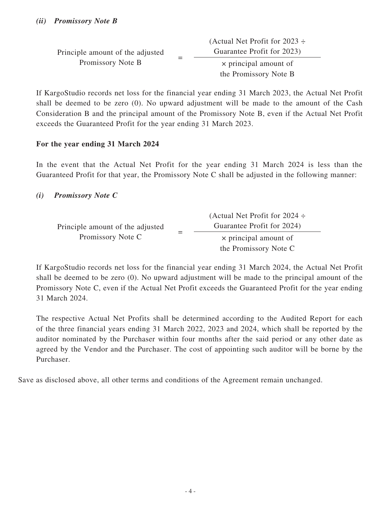|                                  | (Actual Net Profit for 2023 $\div$ |
|----------------------------------|------------------------------------|
| Principle amount of the adjusted | Guarantee Profit for 2023)         |
| Promissory Note B                | $\times$ principal amount of       |
|                                  | the Promissory Note B              |

If KargoStudio records net loss for the financial year ending 31 March 2023, the Actual Net Profit shall be deemed to be zero (0). No upward adjustment will be made to the amount of the Cash Consideration B and the principal amount of the Promissory Note B, even if the Actual Net Profit exceeds the Guaranteed Profit for the year ending 31 March 2023.

## **For the year ending 31 March 2024**

In the event that the Actual Net Profit for the year ending 31 March 2024 is less than the Guaranteed Profit for that year, the Promissory Note C shall be adjusted in the following manner:

## *(i) Promissory Note C*

|                                  | (Actual Net Profit for $2024 \div$ |
|----------------------------------|------------------------------------|
| Principle amount of the adjusted | Guarantee Profit for 2024)         |
| Promissory Note C                | $\times$ principal amount of       |
|                                  | the Promissory Note C              |

If KargoStudio records net loss for the financial year ending 31 March 2024, the Actual Net Profit shall be deemed to be zero (0). No upward adjustment will be made to the principal amount of the Promissory Note C, even if the Actual Net Profit exceeds the Guaranteed Profit for the year ending 31 March 2024.

The respective Actual Net Profits shall be determined according to the Audited Report for each of the three financial years ending 31 March 2022, 2023 and 2024, which shall be reported by the auditor nominated by the Purchaser within four months after the said period or any other date as agreed by the Vendor and the Purchaser. The cost of appointing such auditor will be borne by the Purchaser.

Save as disclosed above, all other terms and conditions of the Agreement remain unchanged.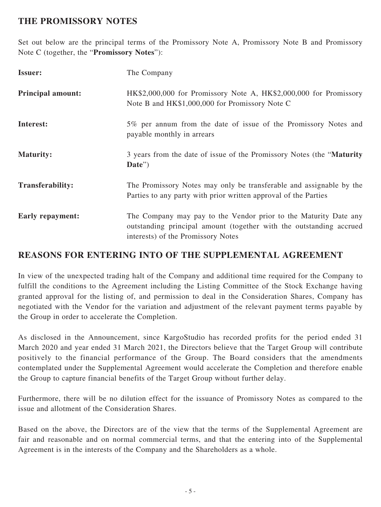# **THE PROMISSORY NOTES**

Set out below are the principal terms of the Promissory Note A, Promissory Note B and Promissory Note C (together, the "**Promissory Notes**"):

| <b>Issuer:</b>           | The Company                                                                                                                                                                   |
|--------------------------|-------------------------------------------------------------------------------------------------------------------------------------------------------------------------------|
| <b>Principal amount:</b> | HK\$2,000,000 for Promissory Note A, HK\$2,000,000 for Promissory<br>Note B and HK\$1,000,000 for Promissory Note C                                                           |
| Interest:                | 5% per annum from the date of issue of the Promissory Notes and<br>payable monthly in arrears                                                                                 |
| <b>Maturity:</b>         | 3 years from the date of issue of the Promissory Notes (the "Maturity"<br>Date")                                                                                              |
| <b>Transferability:</b>  | The Promissory Notes may only be transferable and assignable by the<br>Parties to any party with prior written approval of the Parties                                        |
| <b>Early repayment:</b>  | The Company may pay to the Vendor prior to the Maturity Date any<br>outstanding principal amount (together with the outstanding accrued<br>interests) of the Promissory Notes |

## **REASONS FOR ENTERING INTO OF THE SUPPLEMENTAL AGREEMENT**

In view of the unexpected trading halt of the Company and additional time required for the Company to fulfill the conditions to the Agreement including the Listing Committee of the Stock Exchange having granted approval for the listing of, and permission to deal in the Consideration Shares, Company has negotiated with the Vendor for the variation and adjustment of the relevant payment terms payable by the Group in order to accelerate the Completion.

As disclosed in the Announcement, since KargoStudio has recorded profits for the period ended 31 March 2020 and year ended 31 March 2021, the Directors believe that the Target Group will contribute positively to the financial performance of the Group. The Board considers that the amendments contemplated under the Supplemental Agreement would accelerate the Completion and therefore enable the Group to capture financial benefits of the Target Group without further delay.

Furthermore, there will be no dilution effect for the issuance of Promissory Notes as compared to the issue and allotment of the Consideration Shares.

Based on the above, the Directors are of the view that the terms of the Supplemental Agreement are fair and reasonable and on normal commercial terms, and that the entering into of the Supplemental Agreement is in the interests of the Company and the Shareholders as a whole.